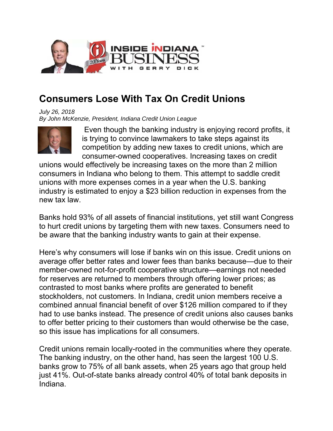

## **Consumers Lose With Tax On Credit Unions**

*July 26, 2018 By John McKenzie, President, Indiana Credit Union League*



 Even though the banking industry is enjoying record profits, it is trying to convince lawmakers to take steps against its competition by adding new taxes to credit unions, which are consumer-owned cooperatives. Increasing taxes on credit

unions would effectively be increasing taxes on the more than 2 million consumers in Indiana who belong to them. This attempt to saddle credit unions with more expenses comes in a year when the U.S. banking industry is estimated to enjoy a \$23 billion reduction in expenses from the new tax law.

Banks hold 93% of all assets of financial institutions, yet still want Congress to hurt credit unions by targeting them with new taxes. Consumers need to be aware that the banking industry wants to gain at their expense.

Here's why consumers will lose if banks win on this issue. Credit unions on average offer better rates and lower fees than banks because—due to their member-owned not-for-profit cooperative structure—earnings not needed for reserves are returned to members through offering lower prices; as contrasted to most banks where profits are generated to benefit stockholders, not customers. In Indiana, credit union members receive a combined annual financial benefit of over \$126 million compared to if they had to use banks instead. The presence of credit unions also causes banks to offer better pricing to their customers than would otherwise be the case, so this issue has implications for all consumers.

Credit unions remain locally-rooted in the communities where they operate. The banking industry, on the other hand, has seen the largest 100 U.S. banks grow to 75% of all bank assets, when 25 years ago that group held just 41%. Out-of-state banks already control 40% of total bank deposits in Indiana.